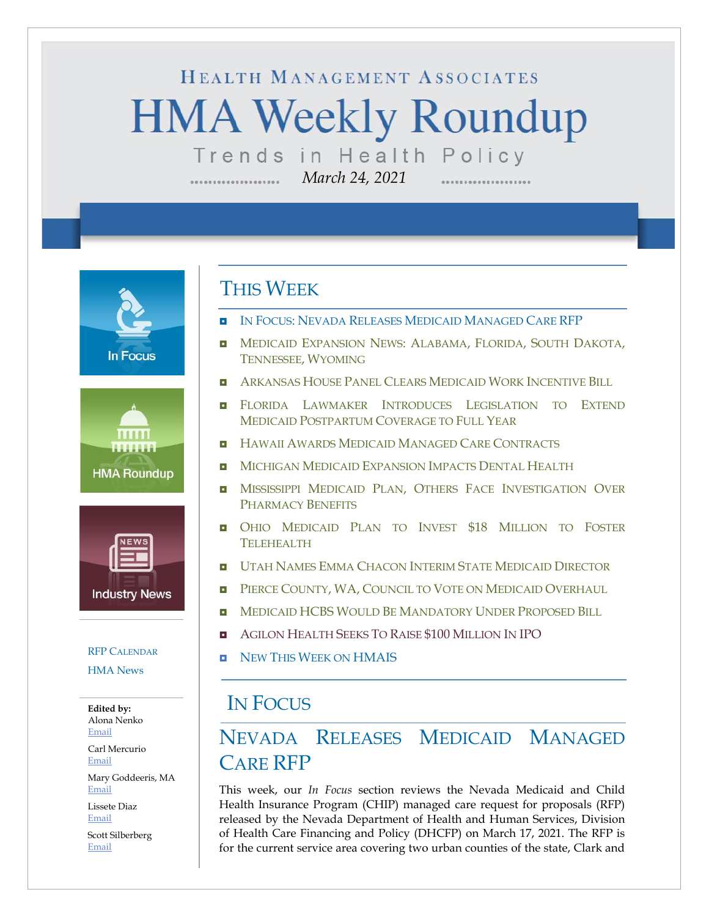# HEALTH MANAGEMENT ASSOCIATES **HMA Weekly Roundup** Trends in Health Policy

*March 24, 2021*

**In Focus** 





#### [RFP C](#page-10-0)[ALENDAR](#page-10-0) [HMA News](#page-12-0)

**Edited by:** Alona Nenko [Email](mailto:anenko@healthmanagement.com)

Carl Mercurio [Email](mailto:cmercurio@healthmanagement.com)

Mary Goddeeris, MA [Email](mailto:mgoddeeris@healthmanagement.com)

Lissete Diaz [Email](mailto:ldiaz@healthmanagement.com)

Scott Silberberg [Email](mailto:ssilberberg@healthmanagement.com)

#### THIS WEEK

- IN FOCUS: NEVADA RELEASES MEDICAID MANAGED CARE RFP
- **I** MEDICAID E[XPANSION](#page-3-0) NEWS: ALABAMA, FLORIDA, SOUTH DAKOTA, T[ENNESSEE](#page-3-0), WYOMING
- **ARKANSAS HOUSE PANEL CLEARS MEDICAID WORK I[NCENTIVE](#page-3-1) BILL**
- **E** FLORIDA LAWMAKER INTRODUCES L[EGISLATION TO](#page-3-2) EXTEND MEDICAID POSTPARTUM C[OVERAGE TO](#page-3-2) FULL YEAR
- **HAWAII AWARDS MEDICAID MANAGED CARE C[ONTRACTS](#page-4-0)**
- **MICHIGAN MEDICAID E[XPANSION](#page-4-1) IMPACTS DENTAL HEALTH**
- **INISSISSIPPI MEDICAID PLAN, OTHERS FACE I[NVESTIGATION](#page-4-2) OVER** P[HARMACY](#page-4-2) BENEFITS
- **OHIO MEDICAID PLAN TO INVEST \$18 M[ILLION TO](#page-5-0) FOSTER T[ELEHEALTH](#page-5-0)**
- **u UTAH NAMES EMMA CHACON INTERIM STATE M[EDICAID](#page-6-0) DIRECTOR**
- **PIERCE COUNTY, WA, C[OUNCIL TO](#page-6-1) VOTE ON MEDICAID OVERHAUL**
- **NEDICAID HCBS WOULD BE M[ANDATORY](#page-7-0) UNDER PROPOSED BILL**
- **E** AGILON HEALTH SEEKS TO RAISE \$100 M[ILLION](#page-9-0) IN IPO
- **NEW THIS WEEK ON [HMAIS](#page-12-0)**

### IN FOCUS

## NEVADA RELEASES MEDICAID MANAGED CARE RFP

This week, our *In Focus* section reviews the Nevada Medicaid and Child Health Insurance Program (CHIP) managed care request for proposals (RFP) released by the Nevada Department of Health and Human Services, Division of Health Care Financing and Policy (DHCFP) on March 17, 2021. The RFP is for the current service area covering two urban counties of the state, Clark and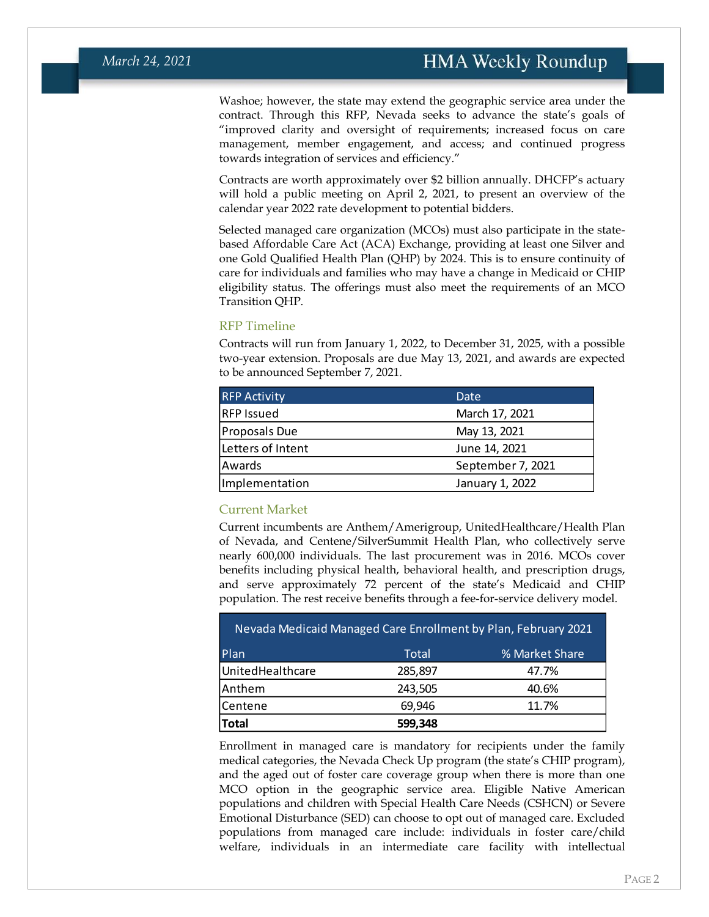Washoe; however, the state may extend the geographic service area under the contract. Through this RFP, Nevada seeks to advance the state's goals of "improved clarity and oversight of requirements; increased focus on care management, member engagement, and access; and continued progress towards integration of services and efficiency."

Contracts are worth approximately over \$2 billion annually. DHCFP's actuary will hold a public meeting on April 2, 2021, to present an overview of the calendar year 2022 rate development to potential bidders.

Selected managed care organization (MCOs) must also participate in the statebased Affordable Care Act (ACA) Exchange, providing at least one Silver and one Gold Qualified Health Plan (QHP) by 2024. This is to ensure continuity of care for individuals and families who may have a change in Medicaid or CHIP eligibility status. The offerings must also meet the requirements of an MCO Transition QHP.

#### RFP Timeline

Contracts will run from January 1, 2022, to December 31, 2025, with a possible two-year extension. Proposals are due May 13, 2021, and awards are expected to be announced September 7, 2021.

| <b>RFP Activity</b> | Date              |
|---------------------|-------------------|
| <b>RFP Issued</b>   | March 17, 2021    |
| Proposals Due       | May 13, 2021      |
| Letters of Intent   | June 14, 2021     |
| Awards              | September 7, 2021 |
| Implementation      | January 1, 2022   |

#### Current Market

Current incumbents are Anthem/Amerigroup, UnitedHealthcare/Health Plan of Nevada, and Centene/SilverSummit Health Plan, who collectively serve nearly 600,000 individuals. The last procurement was in 2016. MCOs cover benefits including physical health, behavioral health, and prescription drugs, and serve approximately 72 percent of the state's Medicaid and CHIP population. The rest receive benefits through a fee-for-service delivery model.

| Nevada Medicaid Managed Care Enrollment by Plan, February 2021 |         |                |  |  |
|----------------------------------------------------------------|---------|----------------|--|--|
| Plan                                                           | Total   | % Market Share |  |  |
| UnitedHealthcare                                               | 285,897 | 47.7%          |  |  |
| Anthem                                                         | 243,505 | 40.6%          |  |  |
| Centene                                                        | 69,946  | 11.7%          |  |  |
| <b>Total</b>                                                   | 599,348 |                |  |  |

Enrollment in managed care is mandatory for recipients under the family medical categories, the Nevada Check Up program (the state's CHIP program), and the aged out of foster care coverage group when there is more than one MCO option in the geographic service area. Eligible Native American populations and children with Special Health Care Needs (CSHCN) or Severe Emotional Disturbance (SED) can choose to opt out of managed care. Excluded populations from managed care include: individuals in foster care/child welfare, individuals in an intermediate care facility with intellectual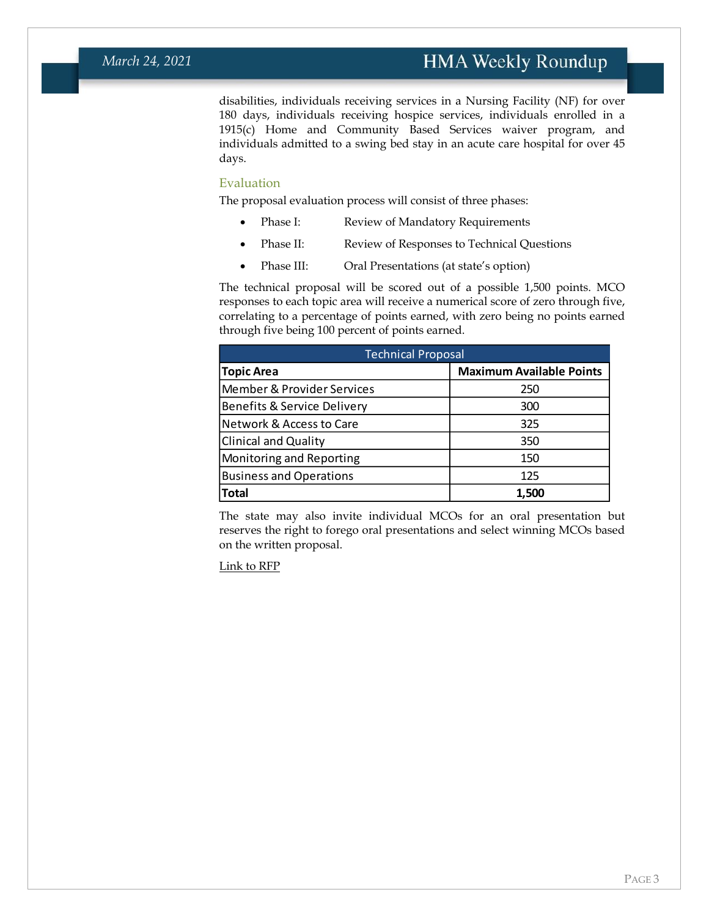disabilities, individuals receiving services in a Nursing Facility (NF) for over 180 days, individuals receiving hospice services, individuals enrolled in a 1915(c) Home and Community Based Services waiver program, and individuals admitted to a swing bed stay in an acute care hospital for over 45 days.

#### Evaluation

The proposal evaluation process will consist of three phases:

- Phase I: Review of Mandatory Requirements
- Phase II: Review of Responses to Technical Questions
- Phase III: Oral Presentations (at state's option)

The technical proposal will be scored out of a possible 1,500 points. MCO responses to each topic area will receive a numerical score of zero through five, correlating to a percentage of points earned, with zero being no points earned through five being 100 percent of points earned.

| <b>Technical Proposal</b>      |                                 |  |  |
|--------------------------------|---------------------------------|--|--|
| <b>Topic Area</b>              | <b>Maximum Available Points</b> |  |  |
| Member & Provider Services     | 250                             |  |  |
| Benefits & Service Delivery    | 300                             |  |  |
| Network & Access to Care       | 325                             |  |  |
| <b>Clinical and Quality</b>    | 350                             |  |  |
| Monitoring and Reporting       | 150                             |  |  |
| <b>Business and Operations</b> | 125                             |  |  |
| Total                          | 1.500                           |  |  |

The state may also invite individual MCOs for an oral presentation but reserves the right to forego oral presentations and select winning MCOs based on the written proposal.

[Link to RFP](https://nevadaepro.com/bso/external/bidDetail.sdo?bidId=40DHHS-S1457&parentUrl=activeBids)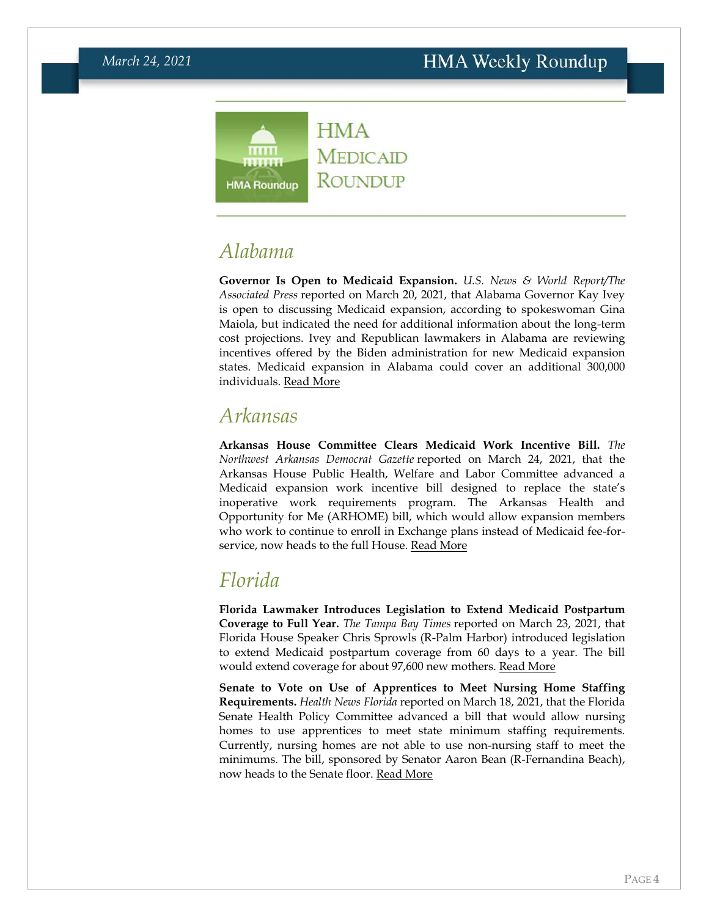

### <span id="page-3-0"></span>*Alabama*

**Governor Is Open to Medicaid Expansion.** *U.S. News & World Report/The Associated Press* reported on March 20, 2021, that Alabama Governor Kay Ivey is open to discussing Medicaid expansion, according to spokeswoman Gina Maiola, but indicated the need for additional information about the long-term cost projections. Ivey and Republican lawmakers in Alabama are reviewing incentives offered by the Biden administration for new Medicaid expansion states. Medicaid expansion in Alabama could cover an additional 300,000 individuals. [Read More](https://www.usnews.com/news/best-states/alabama/articles/2021-03-20/alabama-reviewing-medicaid-expansion-incentives)

#### <span id="page-3-1"></span>*Arkansas*

**Arkansas House Committee Clears Medicaid Work Incentive Bill.** *The Northwest Arkansas Democrat Gazette* reported on March 24, 2021, that the Arkansas House Public Health, Welfare and Labor Committee advanced a Medicaid expansion work incentive bill designed to replace the state's inoperative work requirements program. The Arkansas Health and Opportunity for Me (ARHOME) bill, which would allow expansion members who work to continue to enroll in Exchange plans instead of Medicaid fee-for-service, now heads to the full House. [Read More](https://www.nwaonline.com/news/2021/mar/24/medicaid-bill-moved-to-house/)

### <span id="page-3-2"></span>*Florida*

**Florida Lawmaker Introduces Legislation to Extend Medicaid Postpartum Coverage to Full Year.** *The Tampa Bay Times* reported on March 23, 2021, that Florida House Speaker Chris Sprowls (R-Palm Harbor) introduced legislation to extend Medicaid postpartum coverage from 60 days to a year. The bill would extend coverage for about 97,600 new mothers. [Read More](https://www.tampabay.com/news/florida-politics/2021/03/23/medicaid-boost-would-give-a-year-of-postpartum-care-to-florida-moms/)

**Senate to Vote on Use of Apprentices to Meet Nursing Home Staffing Requirements.** *Health News Florida* reported on March 18, 2021, that the Florida Senate Health Policy Committee advanced a bill that would allow nursing homes to use apprentices to meet state minimum staffing requirements. Currently, nursing homes are not able to use non-nursing staff to meet the minimums. The bill, sponsored by Senator Aaron Bean (R-Fernandina Beach), now heads to the Senate floor. [Read More](https://health.wusf.usf.edu/health-news-florida/2021-03-18/lawmakers-eye-personal-care-attendants-in-nursing-homes)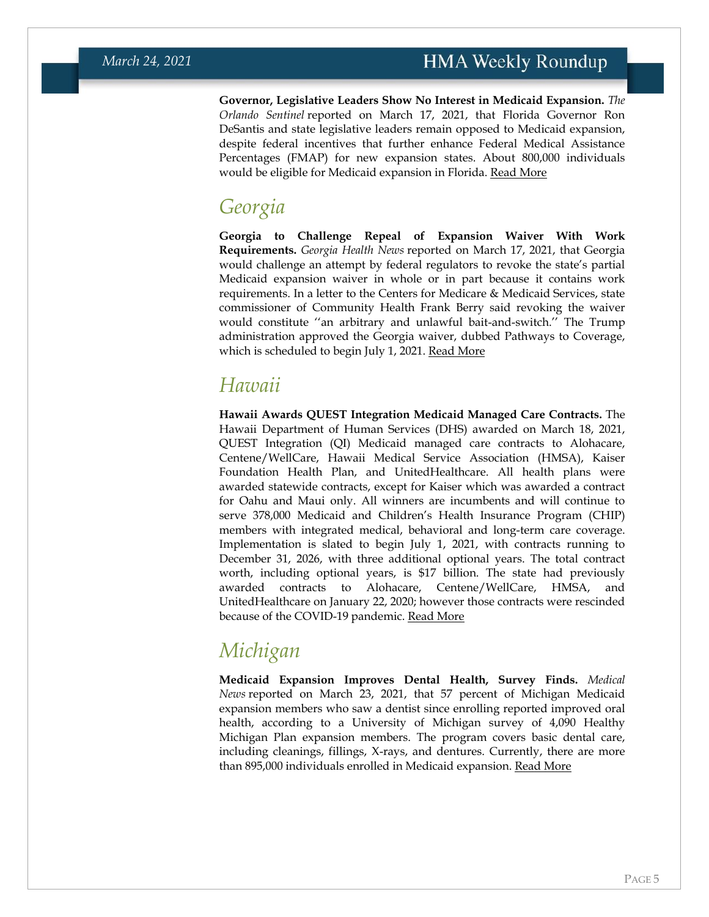**Governor, Legislative Leaders Show No Interest in Medicaid Expansion.** *The Orlando Sentinel* reported on March 17, 2021, that Florida Governor Ron DeSantis and state legislative leaders remain opposed to Medicaid expansion, despite federal incentives that further enhance Federal Medical Assistance Percentages (FMAP) for new expansion states. About 800,000 individuals would be eligible for Medicaid expansion in Florida. [Read More](https://www.orlandosentinel.com/politics/os-ne-florida-medicaid-expansion-20210317-uxyqvh3trjgvthw4qxoba52syy-story.html)

#### *Georgia*

**Georgia to Challenge Repeal of Expansion Waiver With Work Requirements.** *Georgia Health News* reported on March 17, 2021, that Georgia would challenge an attempt by federal regulators to revoke the state's partial Medicaid expansion waiver in whole or in part because it contains work requirements. In a letter to the Centers for Medicare & Medicaid Services, state commissioner of Community Health Frank Berry said revoking the waiver would constitute ''an arbitrary and unlawful bait-and-switch.'' The Trump administration approved the Georgia waiver, dubbed Pathways to Coverage, which is scheduled to begin July 1, 2021. [Read More](http://www.georgiahealthnews.com/2021/03/georgia-vows-continue-fight-feds-kill-medicaid-waiver-plan/)

### <span id="page-4-0"></span>*Hawaii*

**Hawaii Awards QUEST Integration Medicaid Managed Care Contracts.** The Hawaii Department of Human Services (DHS) awarded on March 18, 2021, QUEST Integration (QI) Medicaid managed care contracts to Alohacare, Centene/WellCare, Hawaii Medical Service Association (HMSA), Kaiser Foundation Health Plan, and UnitedHealthcare. All health plans were awarded statewide contracts, except for Kaiser which was awarded a contract for Oahu and Maui only. All winners are incumbents and will continue to serve 378,000 Medicaid and Children's Health Insurance Program (CHIP) members with integrated medical, behavioral and long-term care coverage. Implementation is slated to begin July 1, 2021, with contracts running to December 31, 2026, with three additional optional years. The total contract worth, including optional years, is \$17 billion. The state had previously awarded contracts to Alohacare, Centene/WellCare, HMSA, and UnitedHealthcare on January 22, 2020; however those contracts were rescinded because of the COVID-19 pandemic. [Read More](https://hands.ehawaii.gov/hands/awards/award-details/168048)

# <span id="page-4-1"></span>*Michigan*

<span id="page-4-2"></span>**Medicaid Expansion Improves Dental Health, Survey Finds.** *Medical News* reported on March 23, 2021, that 57 percent of Michigan Medicaid expansion members who saw a dentist since enrolling reported improved oral health, according to a University of Michigan survey of 4,090 Healthy Michigan Plan expansion members. The program covers basic dental care, including cleanings, fillings, X-rays, and dentures. Currently, there are more than 895,000 individuals enrolled in Medicaid expansion. [Read More](https://www.news-medical.net/news/20210323/Study-examines-the-impact-of-dental-coverage-offered-through-Michigane28099s-Medicaid-expansion.aspx)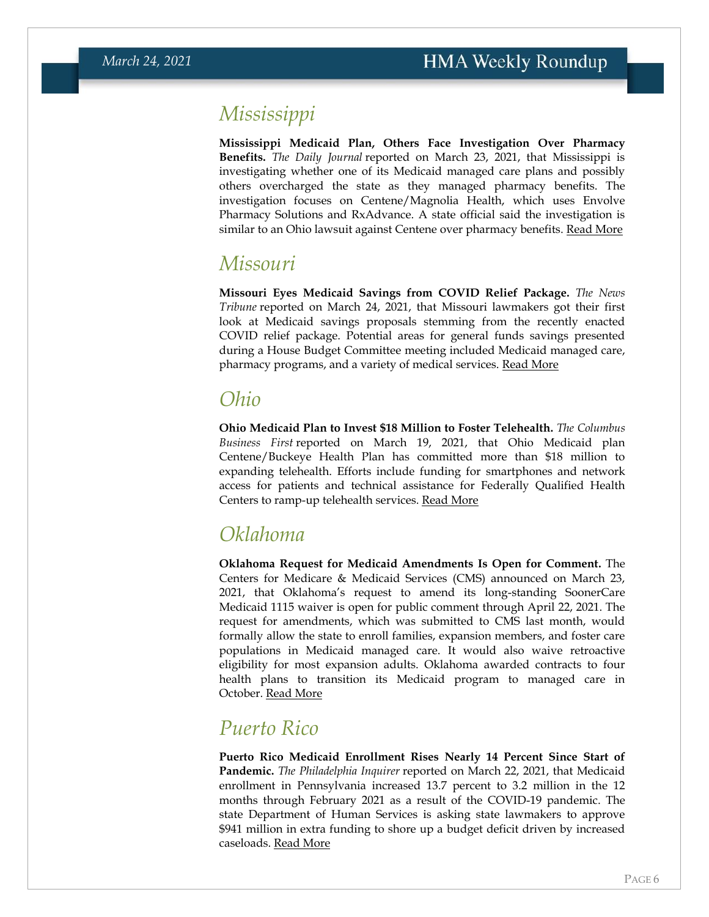#### *Mississippi*

**Mississippi Medicaid Plan, Others Face Investigation Over Pharmacy Benefits.** *The Daily Journal* reported on March 23, 2021, that Mississippi is investigating whether one of its Medicaid managed care plans and possibly others overcharged the state as they managed pharmacy benefits. The investigation focuses on Centene/Magnolia Health, which uses Envolve Pharmacy Solutions and RxAdvance. A state official said the investigation is similar to an Ohio lawsuit against Centene over pharmacy benefits. [Read More](https://www.djournal.com/news/state-news/mississippi-investigating-its-largest-medicaid-provider-over-pharmacy-benefits/article_09377333-b2e9-5ed8-b20b-ba02e157a349.html)

#### *Missouri*

**Missouri Eyes Medicaid Savings from COVID Relief Package.** *The News Tribune* reported on March 24, 2021, that Missouri lawmakers got their first look at Medicaid savings proposals stemming from the recently enacted COVID relief package. Potential areas for general funds savings presented during a House Budget Committee meeting included Medicaid managed care, pharmacy programs, and a variety of medical services. [Read More](https://www.newstribune.com/news/local/story/2021/mar/24/budget-plan-shows-first-missouri-savings-from-federal-medicaid-changes/864667/)

#### <span id="page-5-0"></span>*Ohio*

**Ohio Medicaid Plan to Invest \$18 Million to Foster Telehealth.** *The Columbus Business First* reported on March 19, 2021, that Ohio Medicaid plan Centene/Buckeye Health Plan has committed more than \$18 million to expanding telehealth. Efforts include funding for smartphones and network access for patients and technical assistance for Federally Qualified Health Centers to ramp-up telehealth services. [Read More](https://www.bizjournals.com/columbus/news/2021/03/19/investments-in-telehealth-solutions-in-ohio-addres.html)

### *Oklahoma*

**Oklahoma Request for Medicaid Amendments Is Open for Comment.** The Centers for Medicare & Medicaid Services (CMS) announced on March 23, 2021, that Oklahoma's request to amend its long-standing SoonerCare Medicaid 1115 waiver is open for public comment through April 22, 2021. The request for amendments, which was submitted to CMS last month, would formally allow the state to enroll families, expansion members, and foster care populations in Medicaid managed care. It would also waive retroactive eligibility for most expansion adults. Oklahoma awarded contracts to four health plans to transition its Medicaid program to managed care in October. [Read More](https://1115publiccomments.medicaid.gov/jfe/form/SV_72265XOEm3NP9X0)

### *Puerto Rico*

**Puerto Rico Medicaid Enrollment Rises Nearly 14 Percent Since Start of Pandemic.** *The Philadelphia Inquirer* reported on March 22, 2021, that Medicaid enrollment in Pennsylvania increased 13.7 percent to 3.2 million in the 12 months through February 2021 as a result of the COVID-19 pandemic. The state Department of Human Services is asking state lawmakers to approve \$941 million in extra funding to shore up a budget deficit driven by increased caseloads. [Read More](https://www.inquirer.com/health/coronavirus/spl/pa-coronavirus-medicaid-enrollment-increase-map-20210322.html)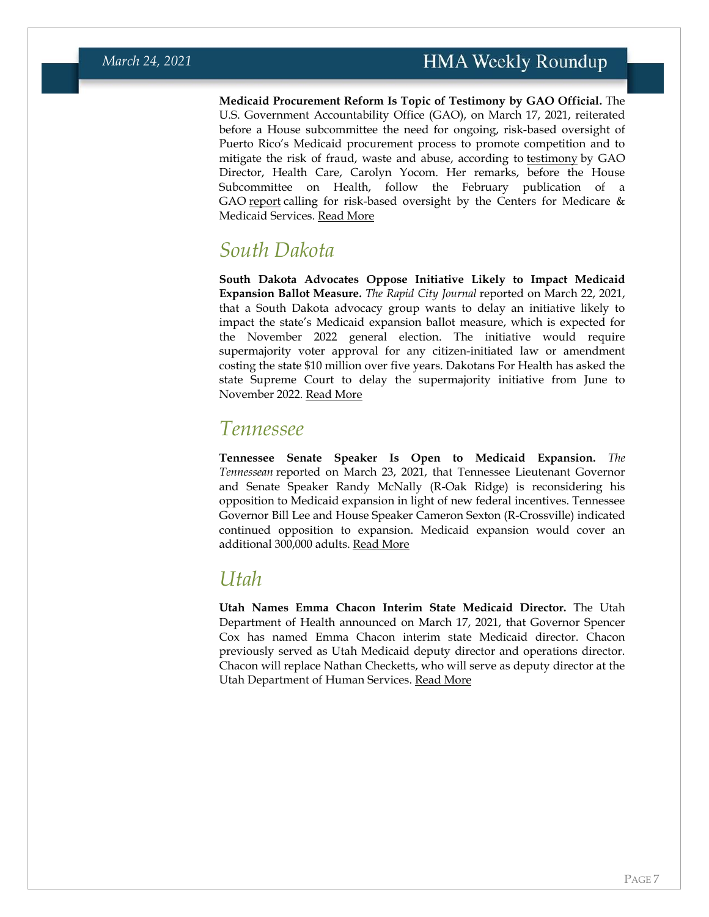**Medicaid Procurement Reform Is Topic of Testimony by GAO Official.** The U.S. Government Accountability Office (GAO), on March 17, 2021, reiterated before a House subcommittee the need for ongoing, risk-based oversight of Puerto Rico's Medicaid procurement process to promote competition and to mitigate the risk of fraud, waste and abuse, according to [testimony](https://www.gao.gov/assets/gao-21-454t.pdf) by GAO Director, Health Care, Carolyn Yocom. Her remarks, before the House Subcommittee on Health, follow the February publication of a GAO [report](https://www.gao.gov/assets/gao-21-229.pdf) calling for risk-based oversight by the Centers for Medicare  $\&$ Medicaid Services. [Read More](https://www.gao.gov/products/gao-21-454t)

#### *South Dakota*

**South Dakota Advocates Oppose Initiative Likely to Impact Medicaid Expansion Ballot Measure.** *The Rapid City Journal* reported on March 22, 2021, that a South Dakota advocacy group wants to delay an initiative likely to impact the state's Medicaid expansion ballot measure, which is expected for the November 2022 general election. The initiative would require supermajority voter approval for any citizen-initiated law or amendment costing the state \$10 million over five years. Dakotans For Health has asked the state Supreme Court to delay the supermajority initiative from June to November 2022. [Read More](https://rapidcityjournal.com/news/local/medicaid-expansion-group-wants-voters-to-delay-supermajority-vote/article_bb8550a5-7942-5743-990c-384a87ded343.html)

#### *Tennessee*

**Tennessee Senate Speaker Is Open to Medicaid Expansion.** *The Tennessean* reported on March 23, 2021, that Tennessee Lieutenant Governor and Senate Speaker Randy McNally (R-Oak Ridge) is reconsidering his opposition to Medicaid expansion in light of new federal incentives. Tennessee Governor Bill Lee and House Speaker Cameron Sexton (R-Crossville) indicated continued opposition to expansion. Medicaid expansion would cover an additional 300,000 adults. [Read More](https://www.tennessean.com/story/news/health/2021/03/23/tennessee-could-expand-medicaid-save-900-m-biden-new-offer/4740068001/)

#### <span id="page-6-0"></span>*Utah*

<span id="page-6-1"></span>**Utah Names Emma Chacon Interim State Medicaid Director.** The Utah Department of Health announced on March 17, 2021, that Governor Spencer Cox has named Emma Chacon interim state Medicaid director. Chacon previously served as Utah Medicaid deputy director and operations director. Chacon will replace Nathan Checketts, who will serve as deputy director at the Utah Department of Human Services. [Read More](https://stateofreform.com/featured/2021/03/gov-cox-names-interim-medicaid-director/)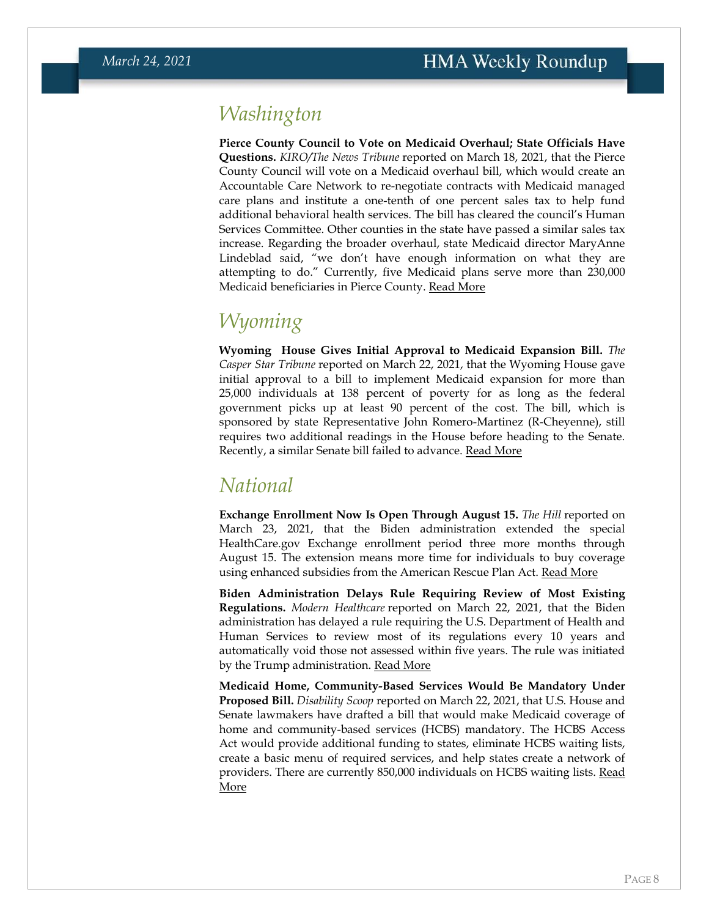#### *Washington*

**Pierce County Council to Vote on Medicaid Overhaul; State Officials Have Questions.** *KIRO/The News Tribune* reported on March 18, 2021, that the Pierce County Council will vote on a Medicaid overhaul bill, which would create an Accountable Care Network to re-negotiate contracts with Medicaid managed care plans and institute a one-tenth of one percent sales tax to help fund additional behavioral health services. The bill has cleared the council's Human Services Committee. Other counties in the state have passed a similar sales tax increase. Regarding the broader overhaul, state Medicaid director MaryAnne Lindeblad said, "we don't have enough information on what they are attempting to do." Currently, five Medicaid plans serve more than 230,000 Medicaid beneficiaries in Pierce County. [Read More](https://www.kiro7.com/news/local/pierce-county-restructure-medicaid-without-state-ensuring-sales-tax-hike/UVV32OQK3NH55NRK72FH73MFDE/)

### *Wyoming*

**Wyoming House Gives Initial Approval to Medicaid Expansion Bill.** *The Casper Star Tribune* reported on March 22, 2021, that the Wyoming House gave initial approval to a bill to implement Medicaid expansion for more than 25,000 individuals at 138 percent of poverty for as long as the federal government picks up at least 90 percent of the cost. The bill, which is sponsored by state Representative John Romero-Martinez (R-Cheyenne), still requires two additional readings in the House before heading to the Senate. Recently, a similar Senate bill failed to advance. [Read More](https://trib.com/news/state-and-regional/health/medicaid-expansion-bill-gains-approval-in-wyoming-house/article_b6987871-34ac-55d9-a44a-80f7062f6a02.html)

#### <span id="page-7-0"></span>*National*

**Exchange Enrollment Now Is Open Through August 15.** *The Hill* reported on March 23, 2021, that the Biden administration extended the special HealthCare.gov Exchange enrollment period three more months through August 15. The extension means more time for individuals to buy coverage using enhanced subsidies from the American Rescue Plan Act. [Read More](https://thehill.com/policy/healthcare/544578-biden-administration-extends-special-obamacare-enrollment-until-august)

**Biden Administration Delays Rule Requiring Review of Most Existing Regulations.** *Modern Healthcare* reported on March 22, 2021, that the Biden administration has delayed a rule requiring the U.S. Department of Health and Human Services to review most of its regulations every 10 years and automatically void those not assessed within five years. The rule was initiated by the Trump administration. [Read More](https://www.modernhealthcare.com/law-regulation/hhs-pauses-rule-review-and-eliminate-old-regulations)

**Medicaid Home, Community-Based Services Would Be Mandatory Under Proposed Bill.** *Disability Scoop* reported on March 22, 2021, that U.S. House and Senate lawmakers have drafted a bill that would make Medicaid coverage of home and community-based services (HCBS) mandatory. The HCBS Access Act would provide additional funding to states, eliminate HCBS waiting lists, create a basic menu of required services, and help states create a network of providers. There are currently 850,000 individuals on HCBS waiting lists. [Read](https://www.disabilityscoop.com/2021/03/22/waiting-lists-may-be-eliminated-for-disability-services-provided-by-medicaid/29252/)  [More](https://www.disabilityscoop.com/2021/03/22/waiting-lists-may-be-eliminated-for-disability-services-provided-by-medicaid/29252/)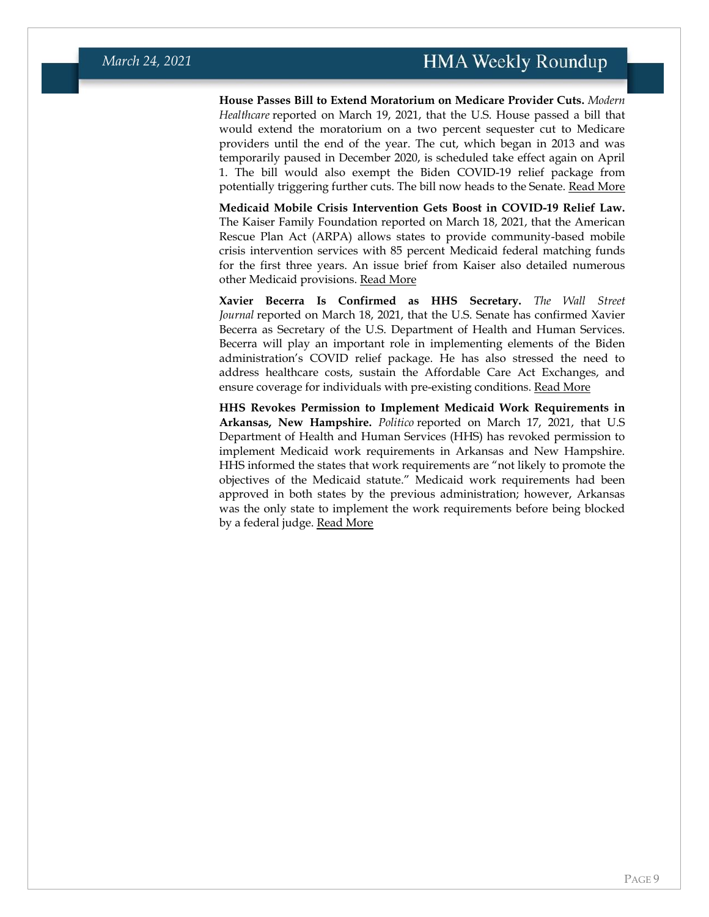**House Passes Bill to Extend Moratorium on Medicare Provider Cuts.** *Modern Healthcare* reported on March 19, 2021, that the U.S. House passed a bill that would extend the moratorium on a two percent sequester cut to Medicare providers until the end of the year. The cut, which began in 2013 and was temporarily paused in December 2020, is scheduled take effect again on April 1. The bill would also exempt the Biden COVID-19 relief package from potentially triggering further cuts. The bill now heads to the Senate. [Read More](https://www.modernhealthcare.com/medicare/house-passes-bill-avert-medicare-cuts-senate-action-uncertain)

**Medicaid Mobile Crisis Intervention Gets Boost in COVID-19 Relief Law.** The Kaiser Family Foundation reported on March 18, 2021, that the American Rescue Plan Act (ARPA) allows states to provide community-based mobile crisis intervention services with 85 percent Medicaid federal matching funds for the first three years. An issue brief from Kaiser also detailed numerous other Medicaid provisions. [Read More](https://www.kff.org/medicaid/issue-brief/medicaid-provisions-in-the-american-rescue-plan-act/)

**Xavier Becerra Is Confirmed as HHS Secretary.** *The Wall Street Journal* reported on March 18, 2021, that the U.S. Senate has confirmed Xavier Becerra as Secretary of the U.S. Department of Health and Human Services. Becerra will play an important role in implementing elements of the Biden administration's COVID relief package. He has also stressed the need to address healthcare costs, sustain the Affordable Care Act Exchanges, and ensure coverage for individuals with pre-existing conditions. [Read More](https://www.wsj.com/articles/senate-confirms-xavier-becerra-as-secretary-of-health-and-human-services-11616086011?mod=djemalertNEWS)

**HHS Revokes Permission to Implement Medicaid Work Requirements in Arkansas, New Hampshire.** *Politico* reported on March 17, 2021, that U.S Department of Health and Human Services (HHS) has revoked permission to implement Medicaid work requirements in Arkansas and New Hampshire. HHS informed the states that work requirements are "not likely to promote the objectives of the Medicaid statute." Medicaid work requirements had been approved in both states by the previous administration; however, Arkansas was the only state to implement the work requirements before being blocked by a federal judge. [Read More](https://www.politico.com/news/2021/03/17/biden-administration-medicaid-work-rules-476856)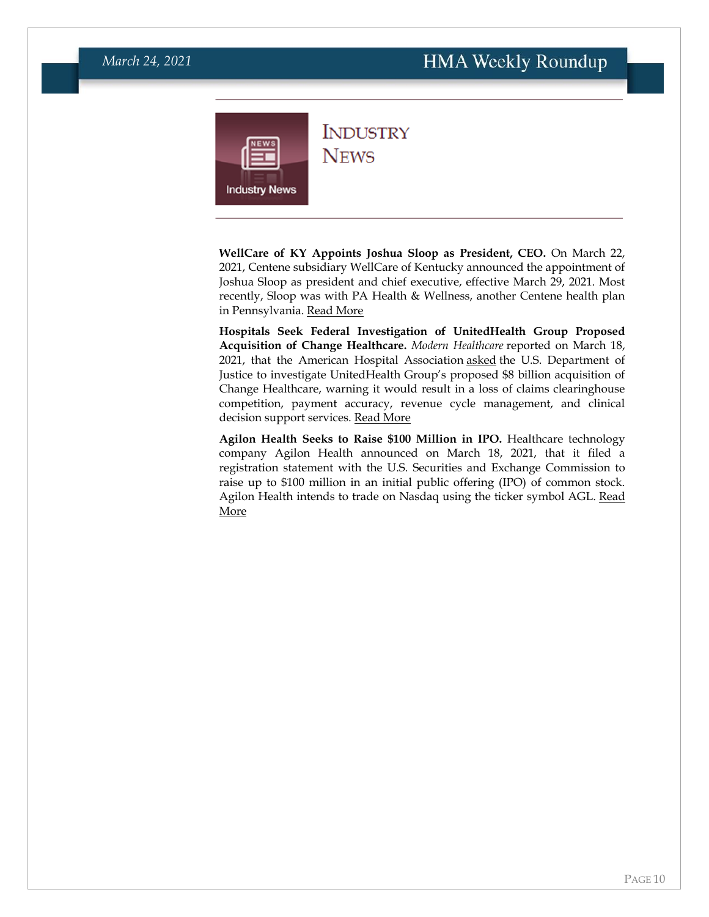<span id="page-9-0"></span>

#### **INDUSTRY NEWS**

**WellCare of KY Appoints Joshua Sloop as President, CEO.** On March 22, 2021, Centene subsidiary WellCare of Kentucky announced the appointment of Joshua Sloop as president and chief executive, effective March 29, 2021. Most recently, Sloop was with PA Health & Wellness, another Centene health plan in Pennsylvania. [Read More](https://www.prnewswire.com/news-releases/wellcare-appoints-joshua-sloop-as-ceo-in-kentucky-301251130.html)

**Hospitals Seek Federal Investigation of UnitedHealth Group Proposed Acquisition of Change Healthcare.** *Modern Healthcare* reported on March 18, 2021, that the American Hospital Association [asked](https://www.aha.org/system/files/media/file/2021/03/aha-urges-doj-investigate-unitedhealth-groups-acquisition-change-healthcare-letter-3-18-21.pdf) the U.S. Department of Justice to investigate UnitedHealth Group's proposed \$8 billion acquisition of Change Healthcare, warning it would result in a loss of claims clearinghouse competition, payment accuracy, revenue cycle management, and clinical decision support services. [Read More](https://www.modernhealthcare.com/mergers-acquisitions/hospitals-ask-doj-probe-unitedhealths-change-healthcare-acquisition)

**Agilon Health Seeks to Raise \$100 Million in IPO.** Healthcare technology company Agilon Health announced on March 18, 2021, that it filed a registration statement with the U.S. Securities and Exchange Commission to raise up to \$100 million in an initial public offering (IPO) of common stock. Agilon Health intends to trade on Nasdaq using the ticker symbol AGL. Read [More](https://www.businesswire.com/news/home/20210318005826/en/agilon-health-Files-Registration-Statement-for-Proposed-Initial-Public-Offering)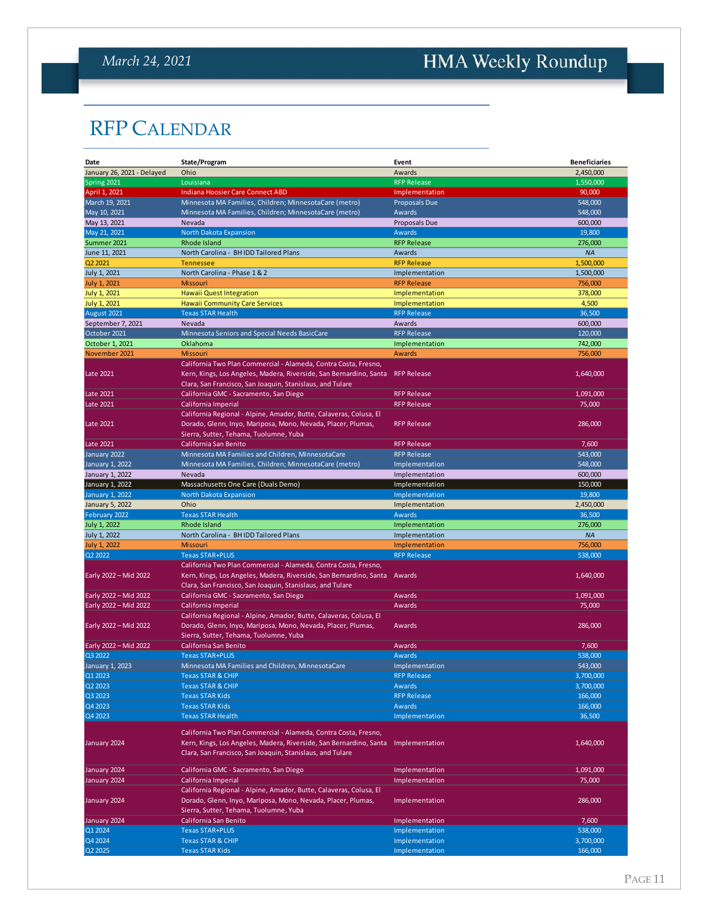# <span id="page-10-0"></span>HMA Weekly Roundup

# RFP CALENDAR

| Date                            | State/Program                                                                                                                                                                                                  | Event                | <b>Beneficiaries</b> |
|---------------------------------|----------------------------------------------------------------------------------------------------------------------------------------------------------------------------------------------------------------|----------------------|----------------------|
| January 26, 2021 - Delayed      | Ohio                                                                                                                                                                                                           | Awards               | 2,450,000            |
| Spring 2021                     | Louisiana                                                                                                                                                                                                      | <b>RFP Release</b>   | 1,550,000            |
| April 1, 2021                   | Indiana Hoosier Care Connect ABD                                                                                                                                                                               | Implementation       | 90,000               |
| March 19, 2021                  | Minnesota MA Families, Children; MinnesotaCare (metro)                                                                                                                                                         | <b>Proposals Due</b> | 548,000              |
| May 10, 2021                    | Minnesota MA Families, Children; MinnesotaCare (metro)                                                                                                                                                         | Awards               | 548,000              |
| May 13, 2021                    | Nevada                                                                                                                                                                                                         | Proposals Due        | 600,000              |
| May 21, 2021                    | North Dakota Expansion                                                                                                                                                                                         | Awards               | 19,800               |
| Summer 2021                     | Rhode Island                                                                                                                                                                                                   | <b>RFP Release</b>   | 276,000              |
| June 11, 2021                   | North Carolina - BH IDD Tailored Plans                                                                                                                                                                         | Awards               | <b>NA</b>            |
| Q <sub>2</sub> 20 <sub>21</sub> | <b>Tennessee</b>                                                                                                                                                                                               | <b>RFP Release</b>   | 1,500,000            |
| July 1, 2021                    | North Carolina - Phase 1 & 2                                                                                                                                                                                   | Implementation       | 1,500,000            |
| <b>July 1, 2021</b>             | <b>Missouri</b>                                                                                                                                                                                                | <b>RFP Release</b>   | 756,000              |
| <b>July 1, 2021</b>             | Hawaii Quest Integration                                                                                                                                                                                       | Implementation       | 378,000              |
| July 1, 2021                    | <b>Hawaii Community Care Services</b>                                                                                                                                                                          | Implementation       | 4,500                |
| August 2021                     | <b>Texas STAR Health</b>                                                                                                                                                                                       | <b>RFP Release</b>   | 36,500               |
| September 7, 2021               | Nevada                                                                                                                                                                                                         | Awards               | 600,000              |
| October 2021                    | Minnesota Seniors and Special Needs BasicCare                                                                                                                                                                  | <b>RFP Release</b>   | 120,000              |
| October 1, 2021                 | Oklahoma                                                                                                                                                                                                       | Implementation       | 742,000              |
| November 2021                   | <b>Missouri</b>                                                                                                                                                                                                | Awards               | 756,000              |
| Late 2021                       | California Two Plan Commercial - Alameda, Contra Costa, Fresno,<br>Kern, Kings, Los Angeles, Madera, Riverside, San Bernardino, Santa RFP Release<br>Clara, San Francisco, San Joaquin, Stanislaus, and Tulare |                      | 1,640,000            |
| Late 2021                       | California GMC - Sacramento, San Diego                                                                                                                                                                         | <b>RFP Release</b>   | 1,091,000            |
| Late 2021                       | California Imperial                                                                                                                                                                                            | <b>RFP Release</b>   | 75,000               |
| Late 2021                       | California Regional - Alpine, Amador, Butte, Calaveras, Colusa, El<br>Dorado, Glenn, Inyo, Mariposa, Mono, Nevada, Placer, Plumas,<br>Sierra, Sutter, Tehama, Tuolumne, Yuba                                   | <b>RFP Release</b>   | 286,000              |
| Late 2021                       | California San Benito                                                                                                                                                                                          | <b>RFP Release</b>   | 7,600                |
| January 2022                    | Minnesota MA Families and Children, MinnesotaCare                                                                                                                                                              | <b>RFP Release</b>   | 543,000              |
| January 1, 2022                 | Minnesota MA Families, Children; MinnesotaCare (metro)                                                                                                                                                         | Implementation       | 548,000              |
| January 1, 2022                 | Nevada                                                                                                                                                                                                         | Implementation       | 600,000              |
| January 1, 2022                 | Massachusetts One Care (Duals Demo)                                                                                                                                                                            | Implementation       | 150,000              |
| <b>January 1, 2022</b>          | North Dakota Expansion                                                                                                                                                                                         | Implementation       | 19,800               |
| <b>January 5, 2022</b>          | Ohio                                                                                                                                                                                                           | Implementation       | 2,450,000            |
| February 2022                   | <b>Texas STAR Health</b>                                                                                                                                                                                       | Awards               | 36,500               |
| July 1, 2022                    | Rhode Island                                                                                                                                                                                                   | Implementation       | 276,000              |
| July 1, 2022                    | North Carolina - BH IDD Tailored Plans                                                                                                                                                                         | Implementation       | <b>NA</b>            |
| <b>July 1, 2022</b>             | <b>Missouri</b>                                                                                                                                                                                                | Implementation       | 756,000              |
| Q2 2022                         | <b>Texas STAR+PLUS</b>                                                                                                                                                                                         | <b>RFP Release</b>   | 538,000              |
|                                 | California Two Plan Commercial - Alameda, Contra Costa, Fresno,                                                                                                                                                |                      |                      |
| Early 2022 - Mid 2022           | Kern, Kings, Los Angeles, Madera, Riverside, San Bernardino, Santa<br>Clara, San Francisco, San Joaquin, Stanislaus, and Tulare                                                                                | Awards               | 1,640,000            |
| Early 2022 - Mid 2022           | California GMC - Sacramento, San Diego                                                                                                                                                                         | Awards               | 1,091,000            |
| Early 2022 - Mid 2022           | California Imperial                                                                                                                                                                                            | Awards               | 75,000               |
| Early 2022 - Mid 2022           | California Regional - Alpine, Amador, Butte, Calaveras, Colusa, El<br>Dorado, Glenn, Inyo, Mariposa, Mono, Nevada, Placer, Plumas,<br>Sierra, Sutter, Tehama, Tuolumne, Yuba                                   | Awards               | 286,000              |
| Early 2022 - Mid 2022           | California San Benito                                                                                                                                                                                          | Awards               | 7,600                |
| Q3 2022                         | <b>Texas STAR+PLUS</b>                                                                                                                                                                                         | Awards               | 538.000              |
| January 1, 2023                 | Minnesota MA Families and Children, MinnesotaCare                                                                                                                                                              | Implementation       | 543,000              |
| Q1 2023                         | <b>Texas STAR &amp; CHIP</b>                                                                                                                                                                                   | <b>RFP Release</b>   | 3,700,000            |
| Q2 2023                         | <b>Texas STAR &amp; CHIP</b>                                                                                                                                                                                   | Awards               | 3,700,000            |
| Q3 2023                         | <b>Texas STAR Kids</b>                                                                                                                                                                                         | <b>RFP Release</b>   | 166,000              |
| Q4 2023                         | <b>Texas STAR Kids</b>                                                                                                                                                                                         | Awards               | 166,000              |
| Q4 2023                         | <b>Texas STAR Health</b>                                                                                                                                                                                       | Implementation       | 36,500               |
|                                 | California Two Plan Commercial - Alameda, Contra Costa, Fresno,                                                                                                                                                |                      |                      |
| January 2024                    | Kern, Kings, Los Angeles, Madera, Riverside, San Bernardino, Santa Implementation<br>Clara, San Francisco, San Joaquin, Stanislaus, and Tulare                                                                 |                      | 1,640,000            |
| January 2024                    | California GMC - Sacramento, San Diego                                                                                                                                                                         | Implementation       | 1,091,000            |
| January 2024                    | California Imperial                                                                                                                                                                                            | Implementation       | 75,000               |
| January 2024                    | California Regional - Alpine, Amador, Butte, Calaveras, Colusa, El<br>Dorado, Glenn, Inyo, Mariposa, Mono, Nevada, Placer, Plumas,<br>Sierra, Sutter, Tehama, Tuolumne, Yuba                                   | Implementation       | 286,000              |
| January 2024                    | California San Benito                                                                                                                                                                                          | Implementation       | 7,600                |
| Q1 2024                         | <b>Texas STAR+PLUS</b>                                                                                                                                                                                         | Implementation       | 538,000              |
| Q4 2024                         | <b>Texas STAR &amp; CHIP</b>                                                                                                                                                                                   | Implementation       | 3,700,000            |
| Q2 2025                         | <b>Texas STAR Kids</b>                                                                                                                                                                                         | Implementation       | 166,000              |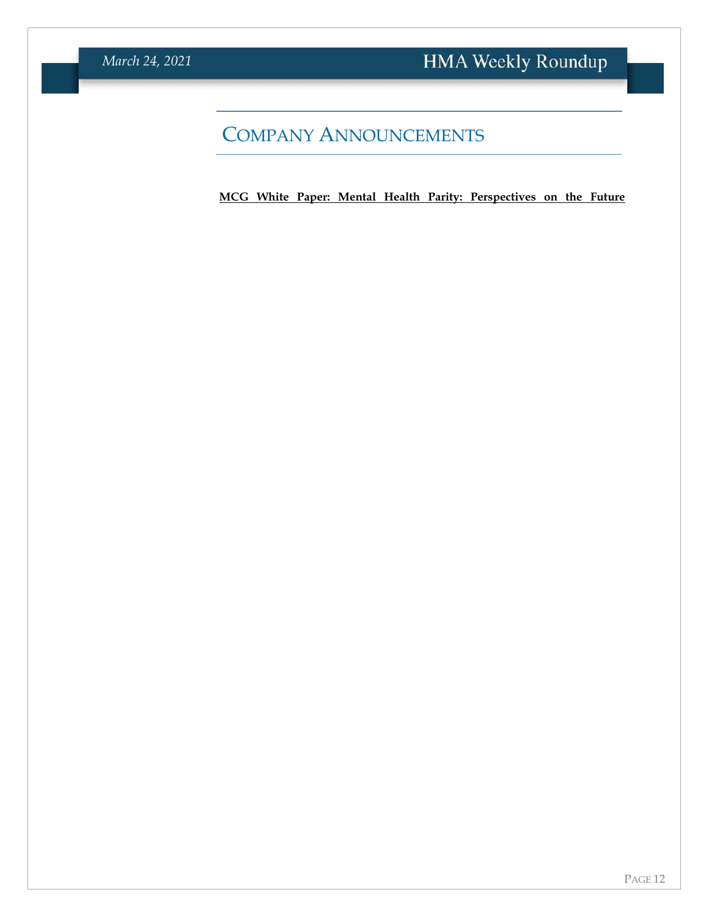# COMPANY ANNOUNCEMENTS

**[MCG White Paper: Mental Health Parity: Perspectives on the Future](https://info.mcg.com/white-paper-mental-health-parity.html?utm_source=hma&utm_medium=membership&utm_campaign=white-paper-2021)**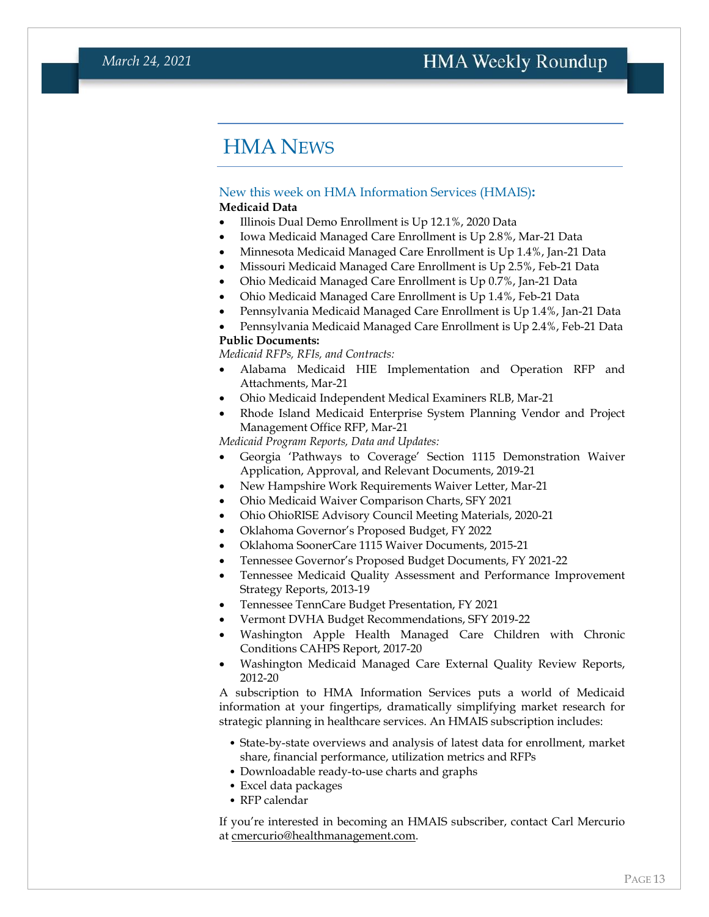### HMA NEWS

#### <span id="page-12-0"></span>New this week on HMA Information Services (HMAIS)**: Medicaid Data**

- Illinois Dual Demo Enrollment is Up 12.1%, 2020 Data
- Iowa Medicaid Managed Care Enrollment is Up 2.8%, Mar-21 Data
- Minnesota Medicaid Managed Care Enrollment is Up 1.4%, Jan-21 Data
- Missouri Medicaid Managed Care Enrollment is Up 2.5%, Feb-21 Data
- Ohio Medicaid Managed Care Enrollment is Up 0.7%, Jan-21 Data
- Ohio Medicaid Managed Care Enrollment is Up 1.4%, Feb-21 Data
- Pennsylvania Medicaid Managed Care Enrollment is Up 1.4%, Jan-21 Data
- Pennsylvania Medicaid Managed Care Enrollment is Up 2.4%, Feb-21 Data

#### **Public Documents:**

*Medicaid RFPs, RFIs, and Contracts:*

- Alabama Medicaid HIE Implementation and Operation RFP and Attachments, Mar-21
- Ohio Medicaid Independent Medical Examiners RLB, Mar-21
- Rhode Island Medicaid Enterprise System Planning Vendor and Project Management Office RFP, Mar-21

*Medicaid Program Reports, Data and Updates:*

- Georgia 'Pathways to Coverage' Section 1115 Demonstration Waiver Application, Approval, and Relevant Documents, 2019-21
- New Hampshire Work Requirements Waiver Letter, Mar-21
- Ohio Medicaid Waiver Comparison Charts, SFY 2021
- Ohio OhioRISE Advisory Council Meeting Materials, 2020-21
- Oklahoma Governor's Proposed Budget, FY 2022
- Oklahoma SoonerCare 1115 Waiver Documents, 2015-21
- Tennessee Governor's Proposed Budget Documents, FY 2021-22
- Tennessee Medicaid Quality Assessment and Performance Improvement Strategy Reports, 2013-19
- Tennessee TennCare Budget Presentation, FY 2021
- Vermont DVHA Budget Recommendations, SFY 2019-22
- Washington Apple Health Managed Care Children with Chronic Conditions CAHPS Report, 2017-20
- Washington Medicaid Managed Care External Quality Review Reports, 2012-20

A subscription to HMA Information Services puts a world of Medicaid information at your fingertips, dramatically simplifying market research for strategic planning in healthcare services. An HMAIS subscription includes:

- State-by-state overviews and analysis of latest data for enrollment, market share, financial performance, utilization metrics and RFPs
- Downloadable ready-to-use charts and graphs
- Excel data packages
- RFP calendar

If you're interested in becoming an HMAIS subscriber, contact Carl Mercurio at [cmercurio@healthmanagement.com.](mailto:cmercurio@healthmanagement.com)